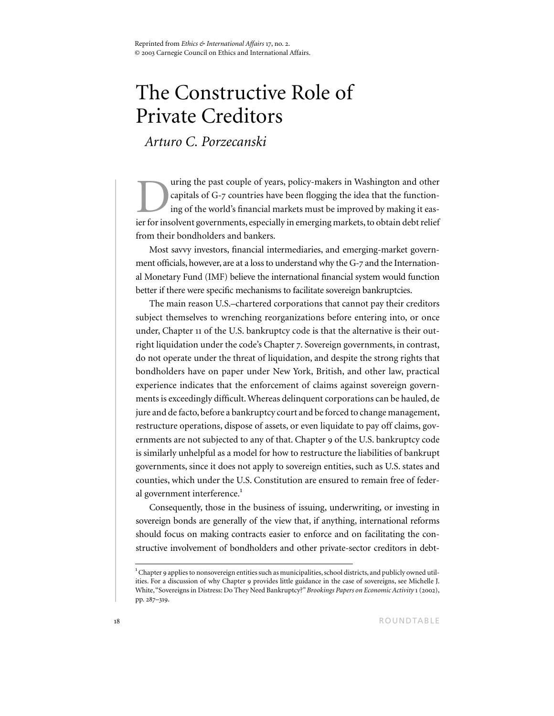# The Constructive Role of Private Creditors

*Arturo C. Porzecanski*

The uring the past couple of years, policy-makers in Washington and other<br>capitals of G-7 countries have been flogging the idea that the function-<br>ing of the world's financial markets must be improved by making it eas-<br>ier capitals of G-7 countries have been flogging the idea that the functioning of the world's financial markets must be improved by making it easier for insolvent governments, especially in emerging markets, to obtain debt relief from their bondholders and bankers.

Most savvy investors, financial intermediaries, and emerging-market government officials, however, are at a loss to understand why the G-7 and the International Monetary Fund (IMF) believe the international financial system would function better if there were specific mechanisms to facilitate sovereign bankruptcies.

The main reason U.S.–chartered corporations that cannot pay their creditors subject themselves to wrenching reorganizations before entering into, or once under, Chapter 11 of the U.S. bankruptcy code is that the alternative is their outright liquidation under the code's Chapter 7. Sovereign governments, in contrast, do not operate under the threat of liquidation, and despite the strong rights that bondholders have on paper under New York, British, and other law, practical experience indicates that the enforcement of claims against sovereign governments is exceedingly difficult. Whereas delinquent corporations can be hauled, de jure and de facto, before a bankruptcy court and be forced to change management, restructure operations, dispose of assets, or even liquidate to pay off claims, governments are not subjected to any of that. Chapter 9 of the U.S. bankruptcy code is similarly unhelpful as a model for how to restructure the liabilities of bankrupt governments, since it does not apply to sovereign entities, such as U.S. states and counties, which under the U.S. Constitution are ensured to remain free of federal government interference.<sup>1</sup>

Consequently, those in the business of issuing, underwriting, or investing in sovereign bonds are generally of the view that, if anything, international reforms should focus on making contracts easier to enforce and on facilitating the constructive involvement of bondholders and other private-sector creditors in debt-

<sup>&</sup>lt;sup>1</sup> Chapter 9 applies to nonsovereign entities such as municipalities, school districts, and publicly owned utilities. For a discussion of why Chapter 9 provides little guidance in the case of sovereigns, see Michelle J. White,"Sovereigns in Distress: Do They Need Bankruptcy?"*Brookings Papers on Economic Activity* 1 (2002), pp. 287–319.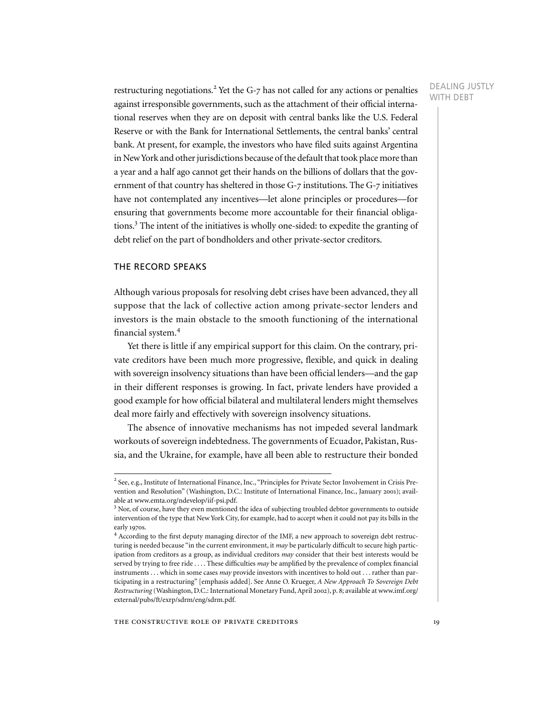## DEALING JUSTLY WITH DEBT

restructuring negotiations.<sup>2</sup> Yet the G-7 has not called for any actions or penalties against irresponsible governments, such as the attachment of their official international reserves when they are on deposit with central banks like the U.S. Federal Reserve or with the Bank for International Settlements, the central banks' central bank. At present, for example, the investors who have filed suits against Argentina in New York and other jurisdictions because of the default that took place more than a year and a half ago cannot get their hands on the billions of dollars that the government of that country has sheltered in those G-7 institutions. The G-7 initiatives have not contemplated any incentives—let alone principles or procedures––for ensuring that governments become more accountable for their financial obligations.<sup>3</sup> The intent of the initiatives is wholly one-sided: to expedite the granting of debt relief on the part of bondholders and other private-sector creditors.

# THE RECORD SPEAKS

Although various proposals for resolving debt crises have been advanced, they all suppose that the lack of collective action among private-sector lenders and investors is the main obstacle to the smooth functioning of the international financial system.<sup>4</sup>

Yet there is little if any empirical support for this claim. On the contrary, private creditors have been much more progressive, flexible, and quick in dealing with sovereign insolvency situations than have been official lenders––and the gap in their different responses is growing. In fact, private lenders have provided a good example for how official bilateral and multilateral lenders might themselves deal more fairly and effectively with sovereign insolvency situations.

The absence of innovative mechanisms has not impeded several landmark workouts of sovereign indebtedness. The governments of Ecuador, Pakistan, Russia, and the Ukraine, for example, have all been able to restructure their bonded

<sup>2</sup> See, e.g., Institute of International Finance, Inc., "Principles for Private Sector Involvement in Crisis Prevention and Resolution" (Washington, D.C.: Institute of International Finance, Inc., January 2001); available at www.emta.org/ndevelop/iif-psi.pdf.

<sup>&</sup>lt;sup>3</sup> Nor, of course, have they even mentioned the idea of subjecting troubled debtor governments to outside intervention of the type that New York City, for example, had to accept when it could not pay its bills in the early 1970s.<br><sup>4</sup> According to the first deputy managing director of the IMF, a new approach to sovereign debt restruc-

turing is needed because "in the current environment, it *may* be particularly difficult to secure high participation from creditors as a group, as individual creditors *may* consider that their best interests would be served by trying to free ride ....These difficulties *may* be amplified by the prevalence of complex financial instruments . . . which in some cases *may* provide investors with incentives to hold out ...rather than participating in a restructuring" [emphasis added]. See Anne O. Krueger, *A New Approach To Sovereign Debt Restructuring* (Washington, D.C.: International Monetary Fund, April 2002), p. 8; available at www.imf.org/ external/pubs/ft/exrp/sdrm/eng/sdrm.pdf.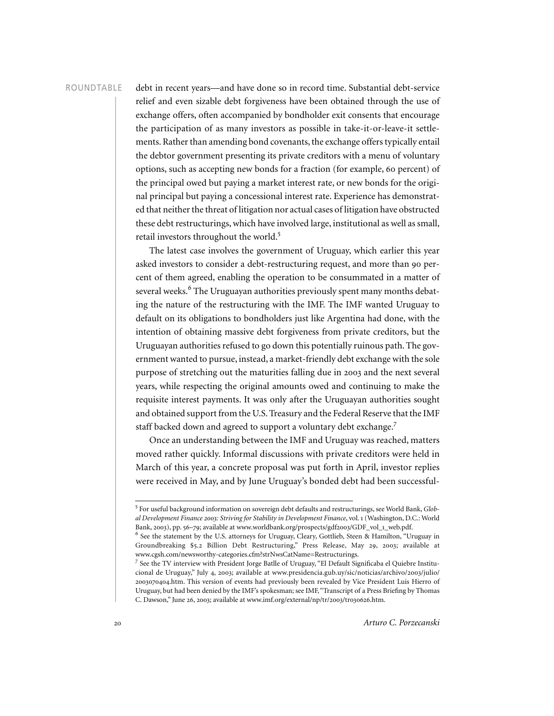#### ROUNDTABLE

debt in recent years––and have done so in record time. Substantial debt-service relief and even sizable debt forgiveness have been obtained through the use of exchange offers, often accompanied by bondholder exit consents that encourage the participation of as many investors as possible in take-it-or-leave-it settlements. Rather than amending bond covenants, the exchange offers typically entail the debtor government presenting its private creditors with a menu of voluntary options, such as accepting new bonds for a fraction (for example, 60 percent) of the principal owed but paying a market interest rate, or new bonds for the original principal but paying a concessional interest rate. Experience has demonstrated that neither the threat of litigation nor actual cases of litigation have obstructed these debt restructurings, which have involved large, institutional as well as small, retail investors throughout the world.<sup>5</sup>

The latest case involves the government of Uruguay, which earlier this year asked investors to consider a debt-restructuring request, and more than 90 percent of them agreed, enabling the operation to be consummated in a matter of several weeks.<sup>6</sup> The Uruguayan authorities previously spent many months debating the nature of the restructuring with the IMF. The IMF wanted Uruguay to default on its obligations to bondholders just like Argentina had done, with the intention of obtaining massive debt forgiveness from private creditors, but the Uruguayan authorities refused to go down this potentially ruinous path. The government wanted to pursue, instead, a market-friendly debt exchange with the sole purpose of stretching out the maturities falling due in 2003 and the next several years, while respecting the original amounts owed and continuing to make the requisite interest payments. It was only after the Uruguayan authorities sought and obtained support from the U.S. Treasury and the Federal Reserve that the IMF staff backed down and agreed to support a voluntary debt exchange.<sup>7</sup>

Once an understanding between the IMF and Uruguay was reached, matters moved rather quickly. Informal discussions with private creditors were held in March of this year, a concrete proposal was put forth in April, investor replies were received in May, and by June Uruguay's bonded debt had been successful-

<sup>5</sup> For useful background information on sovereign debt defaults and restructurings, see World Bank, *Global Development Finance 2003: Striving for Stability in Development Finance*, vol. 1 (Washington, D.C.: World Bank, <sup>2003</sup>), pp. <sup>56</sup>–79; available at www.worldbank.org/prospects/gdf2003/GDF\_vol\_1\_web.pdf. <sup>6</sup> See the statement by the U.S. attorneys for Uruguay, Cleary, Gottlieb, Steen & Hamilton, "Uruguay in

Groundbreaking \$5.2 Billion Debt Restructuring," Press Release, May 29, 2003; available at www.cgsh.com/newsworthy-categories.cfm?strNwsCatName=Restructurings.

<sup>7</sup> See the TV interview with President Jorge Batlle of Uruguay, "El Default Significaba el Quiebre Institucional de Uruguay," July 4, 2003; available at www.presidencia.gub.uy/sic/noticias/archivo/2003/julio/ 2003070404.htm. This version of events had previously been revealed by Vice President Luis Hierro of Uruguay, but had been denied by the IMF's spokesman; see IMF, "Transcript of a Press Briefing by Thomas C. Dawson," June 26, 2003; available at www.imf.org/external/np/tr/2003/tr030626.htm.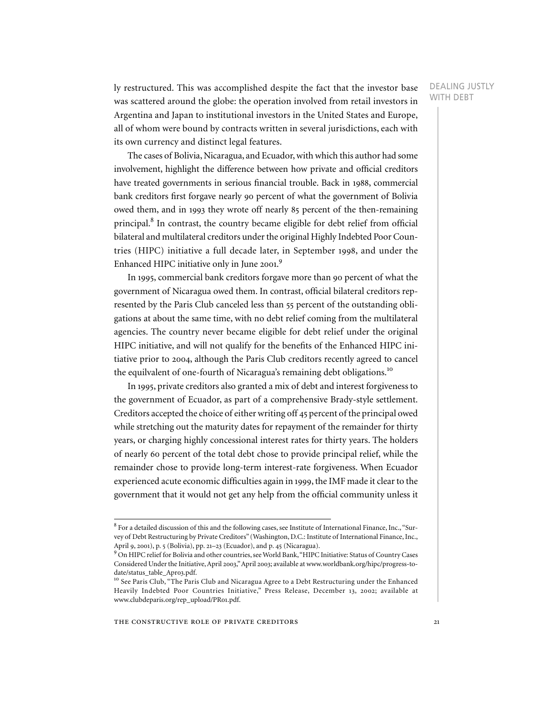### DEALING JUSTLY WITH DEBT

ly restructured. This was accomplished despite the fact that the investor base was scattered around the globe: the operation involved from retail investors in Argentina and Japan to institutional investors in the United States and Europe, all of whom were bound by contracts written in several jurisdictions, each with its own currency and distinct legal features.

The cases of Bolivia, Nicaragua, and Ecuador, with which this author had some involvement, highlight the difference between how private and official creditors have treated governments in serious financial trouble. Back in 1988, commercial bank creditors first forgave nearly 90 percent of what the government of Bolivia owed them, and in 1993 they wrote off nearly 85 percent of the then-remaining principal. $8$  In contrast, the country became eligible for debt relief from official bilateral and multilateral creditors under the original Highly Indebted Poor Countries (HIPC) initiative a full decade later, in September 1998, and under the Enhanced HIPC initiative only in June 2001.<sup>9</sup>

In 1995, commercial bank creditors forgave more than 90 percent of what the government of Nicaragua owed them. In contrast, official bilateral creditors represented by the Paris Club canceled less than 55 percent of the outstanding obligations at about the same time, with no debt relief coming from the multilateral agencies. The country never became eligible for debt relief under the original HIPC initiative, and will not qualify for the benefits of the Enhanced HIPC initiative prior to 2004, although the Paris Club creditors recently agreed to cancel the equilvalent of one-fourth of Nicaragua's remaining debt obligations.<sup>10</sup>

In 1995, private creditors also granted a mix of debt and interest forgiveness to the government of Ecuador, as part of a comprehensive Brady-style settlement. Creditors accepted the choice of either writing off 45 percent of the principal owed while stretching out the maturity dates for repayment of the remainder for thirty years, or charging highly concessional interest rates for thirty years. The holders of nearly 60 percent of the total debt chose to provide principal relief, while the remainder chose to provide long-term interest-rate forgiveness. When Ecuador experienced acute economic difficulties again in 1999, the IMF made it clear to the government that it would not get any help from the official community unless it

<sup>8</sup> For a detailed discussion of this and the following cases, see Institute of International Finance, Inc., "Survey of Debt Restructuring by Private Creditors" (Washington, D.C.: Institute of International Finance, Inc.,

April 9, 2001), p. 5 (Bolivia), pp. 21–23 (Ecuador), and p. 45 (Nicaragua). 9 On HIPC relief for Bolivia and other countries, see World Bank, "HIPC Initiative: Status of Country Cases Considered Under the Initiative, April 2003,"April 2003; available at www.worldbank.org/hipc/progress-todate/status\_table\_Apro3.pdf. 10 See Paris Club and Nicaragua Agree to a Debt Restructuring under the Enhanced

Heavily Indebted Poor Countries Initiative," Press Release, December 13, 2002; available at www.clubdeparis.org/rep\_upload/PR01.pdf.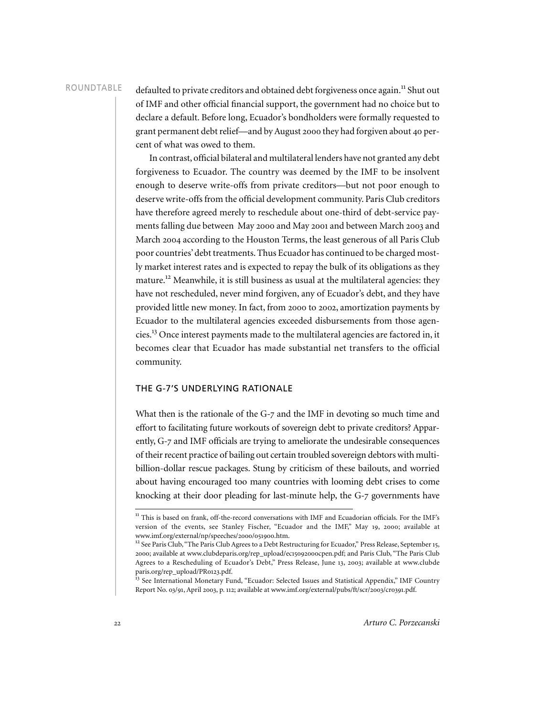#### ROUNDTABLE

defaulted to private creditors and obtained debt forgiveness once again.<sup>11</sup> Shut out of IMF and other official financial support, the government had no choice but to declare a default. Before long, Ecuador's bondholders were formally requested to grant permanent debt relief––and by August 2000 they had forgiven about 40 percent of what was owed to them.

In contrast, official bilateral and multilateral lenders have not granted any debt forgiveness to Ecuador. The country was deemed by the IMF to be insolvent enough to deserve write-offs from private creditors––but not poor enough to deserve write-offs from the official development community. Paris Club creditors have therefore agreed merely to reschedule about one-third of debt-service payments falling due between May 2000 and May 2001 and between March 2003 and March 2004 according to the Houston Terms, the least generous of all Paris Club poor countries' debt treatments. Thus Ecuador has continued to be charged mostly market interest rates and is expected to repay the bulk of its obligations as they mature.<sup>12</sup> Meanwhile, it is still business as usual at the multilateral agencies: they have not rescheduled, never mind forgiven, any of Ecuador's debt, and they have provided little new money. In fact, from 2000 to 2002, amortization payments by Ecuador to the multilateral agencies exceeded disbursements from those agencies.<sup>13</sup> Once interest payments made to the multilateral agencies are factored in, it becomes clear that Ecuador has made substantial net transfers to the official community.

# THE G-7'S UNDERLYING RATIONALE

What then is the rationale of the G-7 and the IMF in devoting so much time and effort to facilitating future workouts of sovereign debt to private creditors? Apparently, G-7 and IMF officials are trying to ameliorate the undesirable consequences of their recent practice of bailing out certain troubled sovereign debtors with multibillion-dollar rescue packages. Stung by criticism of these bailouts, and worried about having encouraged too many countries with looming debt crises to come knocking at their door pleading for last-minute help, the G-7 governments have

<sup>&</sup>lt;sup>11</sup> This is based on frank, off-the-record conversations with IMF and Ecuadorian officials. For the IMF's version of the events, see Stanley Fischer, "Ecuador and the IMF," May 19, 2000; available at www.imf.org/external/np/speeches/2000/051900.htm.<br><sup>12</sup> See Paris Club, "The Paris Club Agrees to a Debt Restructuring for Ecuador," Press Release, September 15,

<sup>2000</sup>; available at www.clubdeparis.org/rep\_upload/ec15092000cpen.pdf; and Paris Club, "The Paris Club Agrees to a Rescheduling of Ecuador's Debt," Press Release, June 13, 2003; available at www.clubde

<sup>&</sup>lt;sup>13</sup> See International Monetary Fund, "Ecuador: Selected Issues and Statistical Appendix," IMF Country Report No. 03/91, April 2003, p. 112; available at www.imf.org/external/pubs/ft/scr/2003/cr0391.pdf.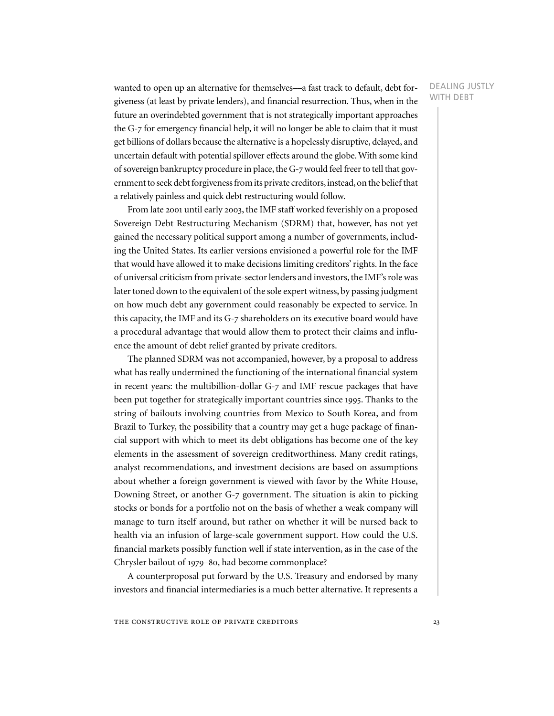DEALING JUSTLY WITH DEBT

wanted to open up an alternative for themselves––a fast track to default, debt forgiveness (at least by private lenders), and financial resurrection. Thus, when in the future an overindebted government that is not strategically important approaches the G-7 for emergency financial help, it will no longer be able to claim that it must get billions of dollars because the alternative is a hopelessly disruptive, delayed, and uncertain default with potential spillover effects around the globe. With some kind of sovereign bankruptcy procedure in place, the G-7would feel freer to tell that government to seek debt forgiveness from its private creditors, instead, on the belief that a relatively painless and quick debt restructuring would follow.

From late 2001 until early 2003, the IMF staff worked feverishly on a proposed Sovereign Debt Restructuring Mechanism (SDRM) that, however, has not yet gained the necessary political support among a number of governments, including the United States. Its earlier versions envisioned a powerful role for the IMF that would have allowed it to make decisions limiting creditors' rights. In the face of universal criticism from private-sector lenders and investors, the IMF's role was later toned down to the equivalent of the sole expert witness, by passing judgment on how much debt any government could reasonably be expected to service. In this capacity, the IMF and its G-7 shareholders on its executive board would have a procedural advantage that would allow them to protect their claims and influence the amount of debt relief granted by private creditors.

The planned SDRM was not accompanied, however, by a proposal to address what has really undermined the functioning of the international financial system in recent years: the multibillion-dollar G-7 and IMF rescue packages that have been put together for strategically important countries since 1995. Thanks to the string of bailouts involving countries from Mexico to South Korea, and from Brazil to Turkey, the possibility that a country may get a huge package of financial support with which to meet its debt obligations has become one of the key elements in the assessment of sovereign creditworthiness. Many credit ratings, analyst recommendations, and investment decisions are based on assumptions about whether a foreign government is viewed with favor by the White House, Downing Street, or another G-7 government. The situation is akin to picking stocks or bonds for a portfolio not on the basis of whether a weak company will manage to turn itself around, but rather on whether it will be nursed back to health via an infusion of large-scale government support. How could the U.S. financial markets possibly function well if state intervention, as in the case of the Chrysler bailout of 1979–80, had become commonplace?

A counterproposal put forward by the U.S. Treasury and endorsed by many investors and financial intermediaries is a much better alternative. It represents a

THE CONSTRUCTIVE ROLE OF PRIVATE CREDITORS 23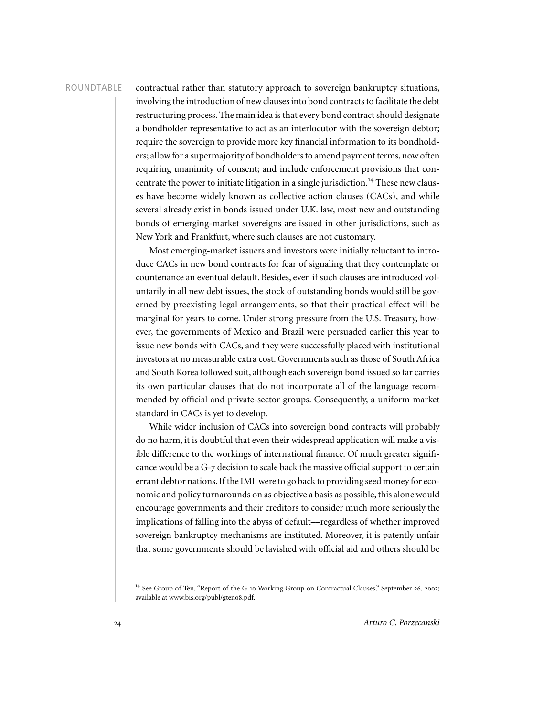#### ROUNDTABLE

contractual rather than statutory approach to sovereign bankruptcy situations, involving the introduction of new clauses into bond contracts to facilitate the debt restructuring process. The main idea is that every bond contract should designate a bondholder representative to act as an interlocutor with the sovereign debtor; require the sovereign to provide more key financial information to its bondholders; allow for a supermajority of bondholders to amend payment terms, now often requiring unanimity of consent; and include enforcement provisions that concentrate the power to initiate litigation in a single jurisdiction.<sup>14</sup> These new clauses have become widely known as collective action clauses (CACs), and while several already exist in bonds issued under U.K. law, most new and outstanding bonds of emerging-market sovereigns are issued in other jurisdictions, such as New York and Frankfurt, where such clauses are not customary.

Most emerging-market issuers and investors were initially reluctant to introduce CACs in new bond contracts for fear of signaling that they contemplate or countenance an eventual default. Besides, even if such clauses are introduced voluntarily in all new debt issues, the stock of outstanding bonds would still be governed by preexisting legal arrangements, so that their practical effect will be marginal for years to come. Under strong pressure from the U.S. Treasury, however, the governments of Mexico and Brazil were persuaded earlier this year to issue new bonds with CACs, and they were successfully placed with institutional investors at no measurable extra cost. Governments such as those of South Africa and South Korea followed suit, although each sovereign bond issued so far carries its own particular clauses that do not incorporate all of the language recommended by official and private-sector groups. Consequently, a uniform market standard in CACs is yet to develop.

While wider inclusion of CACs into sovereign bond contracts will probably do no harm, it is doubtful that even their widespread application will make a visible difference to the workings of international finance. Of much greater significance would be a G-7 decision to scale back the massive official support to certain errant debtor nations. If the IMF were to go back to providing seed money for economic and policy turnarounds on as objective a basis as possible, this alone would encourage governments and their creditors to consider much more seriously the implications of falling into the abyss of default––regardless of whether improved sovereign bankruptcy mechanisms are instituted. Moreover, it is patently unfair that some governments should be lavished with official aid and others should be

<sup>&</sup>lt;sup>14</sup> See Group of Ten, "Report of the G-10 Working Group on Contractual Clauses," September 26, 2002; available at www.bis.org/publ/gten08.pdf.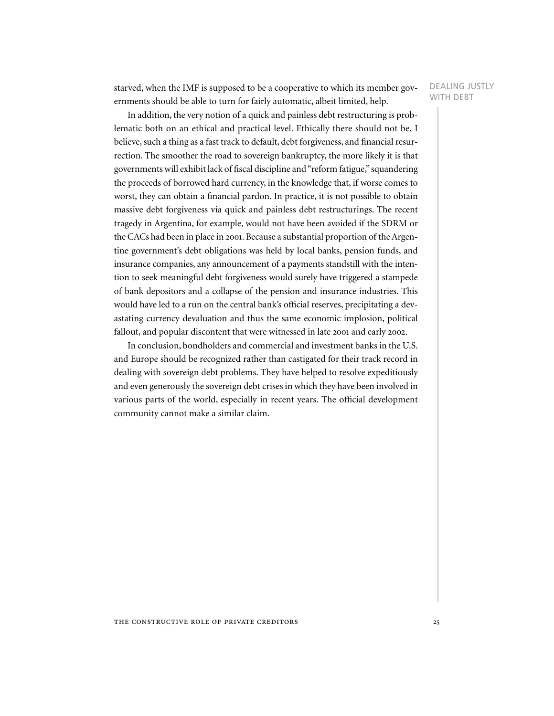starved, when the IMF is supposed to be a cooperative to which its member governments should be able to turn for fairly automatic, albeit limited, help.

## DEALING JUSTLY WITH DEBT

In addition, the very notion of a quick and painless debt restructuring is problematic both on an ethical and practical level. Ethically there should not be, I believe, such a thing as a fast track to default, debt forgiveness, and financial resurrection. The smoother the road to sovereign bankruptcy, the more likely it is that governments will exhibit lack of fiscal discipline and "reform fatigue," squandering the proceeds of borrowed hard currency, in the knowledge that, if worse comes to worst, they can obtain a financial pardon. In practice, it is not possible to obtain massive debt forgiveness via quick and painless debt restructurings. The recent tragedy in Argentina, for example, would not have been avoided if the SDRM or the CACs had been in place in 2001. Because a substantial proportion of the Argentine government's debt obligations was held by local banks, pension funds, and insurance companies, any announcement of a payments standstill with the intention to seek meaningful debt forgiveness would surely have triggered a stampede of bank depositors and a collapse of the pension and insurance industries. This would have led to a run on the central bank's official reserves, precipitating a devastating currency devaluation and thus the same economic implosion, political fallout, and popular discontent that were witnessed in late 2001 and early 2002.

In conclusion, bondholders and commercial and investment banks in the U.S. and Europe should be recognized rather than castigated for their track record in dealing with sovereign debt problems. They have helped to resolve expeditiously and even generously the sovereign debt crises in which they have been involved in various parts of the world, especially in recent years. The official development community cannot make a similar claim.